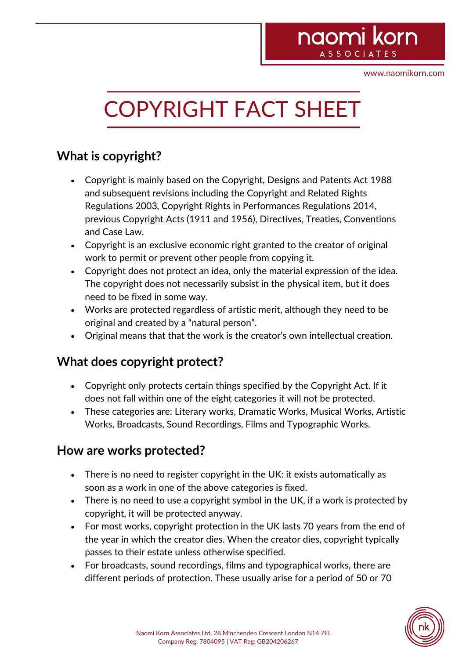# naomi korn **ASSOCIAT**

www.naomikorn.com

# COPYRIGHT FACT SHEET

## **What is copyright?**

- Copyright is mainly based on the Copyright, Designs and Patents Act 1988 and subsequent revisions including the Copyright and Related Rights Regulations 2003*,* Copyright Rights in Performances Regulations 2014, previous Copyright Acts (1911 and 1956), Directives, Treaties, Conventions and Case Law.
- Copyright is an exclusive economic right granted to the creator of original work to permit or prevent other people from copying it.
- Copyright does not protect an idea, only the material expression of the idea. The copyright does not necessarily subsist in the physical item, but it does need to be fixed in some way.
- Works are protected regardless of artistic merit, although they need to be original and created by a "natural person".
- Original means that that the work is the creator's own intellectual creation.

### **What does copyright protect?**

- Copyright only protects certain things specified by the Copyright Act. If it does not fall within one of the eight categories it will not be protected.
- These categories are: Literary works, Dramatic Works, Musical Works, Artistic Works, Broadcasts, Sound Recordings, Films and Typographic Works.

#### **How are works protected?**

- There is no need to register copyright in the UK: it exists automatically as soon as a work in one of the above categories is fixed.
- There is no need to use a copyright symbol in the UK, if a work is protected by copyright, it will be protected anyway.
- For most works, copyright protection in the UK lasts 70 years from the end of the year in which the creator dies. When the creator dies, copyright typically passes to their estate unless otherwise specified.
- For broadcasts, sound recordings, films and typographical works, there are different periods of protection. These usually arise for a period of 50 or 70

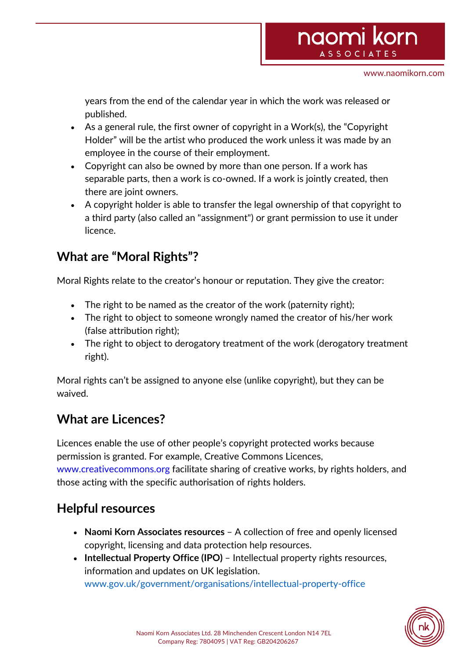years from the end of the calendar year in which the work was released or published.

- As a general rule, the first owner of copyright in a Work(s), the "Copyright Holder" will be the artist who produced the work unless it was made by an employee in the course of their employment.
- Copyright can also be owned by more than one person. If a work has separable parts, then a work is co-owned. If a work is jointly created, then there are joint owners.
- A copyright holder is able to transfer the legal ownership of that copyright to a third party (also called an "assignment") or grant permission to use it under licence.

## **What are "Moral Rights"?**

Moral Rights relate to the creator's honour or reputation. They give the creator:

- The right to be named as the creator of the work (paternity right);
- The right to object to someone wrongly named the creator of his/her work (false attribution right);
- The right to object to derogatory treatment of the work (derogatory treatment right).

Moral rights can't be assigned to anyone else (unlike copyright), but they can be waived.

## **What are Licences?**

Licences enable the use of other people's copyright protected works because permission is granted. For example, Creative Commons Licences, www.creativecommons.org facilitate sharing of creative works, by rights holders, and those acting with the specific authorisation of rights holders.

## **Helpful resources**

- **Naomi Korn Associates resources**  A collection of free and openly licensed copyright, licensing and data protection help resources.
- **Intellectual Property Office (IPO)**  Intellectual property rights resources, information and updates on UK legislation. www.gov.uk/government/organisations/intellectual-property-office